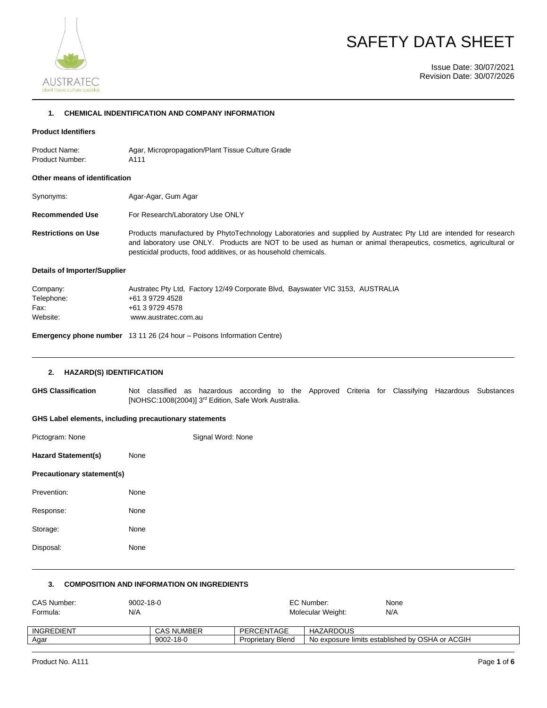



Issue Date: 30/07/2021 Revision Date: 30/07/2026

# **1. CHEMICAL INDENTIFICATION AND COMPANY INFORMATION**

### **Product Identifiers**

Product Name: Agar, Micropropagation/Plant Tissue Culture Grade Product Number: A111

#### **Other means of identification**

| Synonyms:                  | Agar-Agar, Gum Agar                                                                                                                                                                                                                                                                                      |
|----------------------------|----------------------------------------------------------------------------------------------------------------------------------------------------------------------------------------------------------------------------------------------------------------------------------------------------------|
| <b>Recommended Use</b>     | For Research/Laboratory Use ONLY                                                                                                                                                                                                                                                                         |
| <b>Restrictions on Use</b> | Products manufactured by PhytoTechnology Laboratories and supplied by Austratec Pty Ltd are intended for research<br>and laboratory use ONLY. Products are NOT to be used as human or animal therapeutics, cosmetics, agricultural or<br>pesticidal products, food additives, or as household chemicals. |

# **Details of Importer/Supplier**

| Company:   | Austratec Pty Ltd, Factory 12/49 Corporate Blvd, Bayswater VIC 3153, AUSTRALIA |
|------------|--------------------------------------------------------------------------------|
| Telephone: | +61 3 9729 4528                                                                |
| Fax:       | +61 3 9729 4578                                                                |
| Website:   | www.austratec.com.au                                                           |
|            |                                                                                |

**Emergency phone number** 13 11 26 (24 hour – Poisons Information Centre)

#### **2. HAZARD(S) IDENTIFICATION**

**GHS Classification** Not classified as hazardous according to the Approved Criteria for Classifying Hazardous Substances [NOHSC:1008(2004)] 3<sup>rd</sup> Edition, Safe Work Australia.

#### **GHS Label elements, including precautionary statements**

| Pictogram: None            |      | Signal Word: None |
|----------------------------|------|-------------------|
| <b>Hazard Statement(s)</b> | None |                   |
| Precautionary statement(s) |      |                   |
| Prevention:                | None |                   |
| Response:                  | None |                   |
| Storage:                   | None |                   |
| Disposal:                  | None |                   |
|                            |      |                   |

# **3. COMPOSITION AND INFORMATION ON INGREDIENTS**

| CAS Number:<br>Formula: | $9002 - 18 - 0$<br>N/A |                   |                          | EC Number:<br>Molecular Weight: | None<br>N/A                                     |
|-------------------------|------------------------|-------------------|--------------------------|---------------------------------|-------------------------------------------------|
| INGREDIENT              |                        | <b>CAS NUMBER</b> | PERCENTAGE               | <b>HAZARDOUS</b>                |                                                 |
| Agar                    |                        | $9002 - 18 - 0$   | <b>Proprietary Blend</b> |                                 | No exposure limits established by OSHA or ACGIH |
|                         |                        |                   |                          |                                 |                                                 |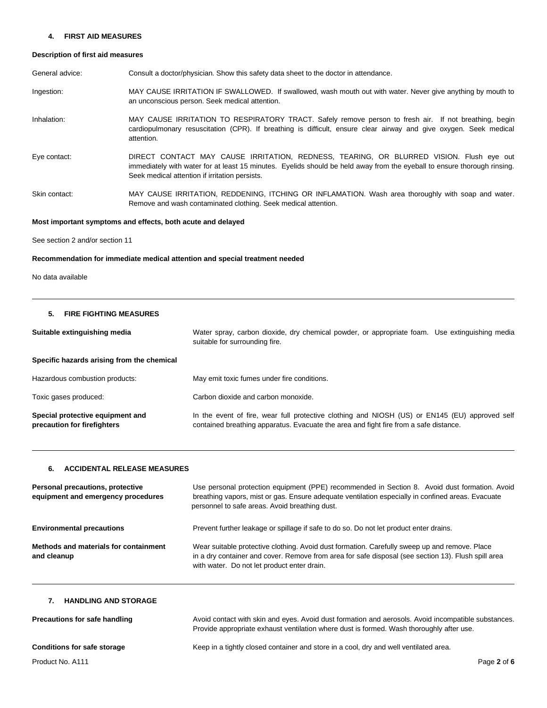### **4. FIRST AID MEASURES**

# **Description of first aid measures**

| General advice: | Consult a doctor/physician. Show this safety data sheet to the doctor in attendance.                                                                                                                                                                                  |
|-----------------|-----------------------------------------------------------------------------------------------------------------------------------------------------------------------------------------------------------------------------------------------------------------------|
| Ingestion:      | MAY CAUSE IRRITATION IF SWALLOWED. If swallowed, wash mouth out with water. Never give anything by mouth to<br>an unconscious person. Seek medical attention.                                                                                                         |
| Inhalation:     | MAY CAUSE IRRITATION TO RESPIRATORY TRACT. Safely remove person to fresh air. If not breathing, begin<br>cardiopulmonary resuscitation (CPR). If breathing is difficult, ensure clear airway and give oxygen. Seek medical<br>attention.                              |
| Eye contact:    | DIRECT CONTACT MAY CAUSE IRRITATION, REDNESS, TEARING, OR BLURRED VISION. Flush eye out<br>immediately with water for at least 15 minutes. Eyelids should be held away from the eyeball to ensure thorough rinsing.<br>Seek medical attention if irritation persists. |
| Skin contact:   | MAY CAUSE IRRITATION, REDDENING, ITCHING OR INFLAMATION. Wash area thoroughly with soap and water.<br>Remove and wash contaminated clothing. Seek medical attention.                                                                                                  |

# **Most important symptoms and effects, both acute and delayed**

See section 2 and/or section 11

# **Recommendation for immediate medical attention and special treatment needed**

No data available

### **5. FIRE FIGHTING MEASURES**

| Suitable extinguishing media                                    | Water spray, carbon dioxide, dry chemical powder, or appropriate foam. Use extinguishing media<br>suitable for surrounding fire.                                                        |
|-----------------------------------------------------------------|-----------------------------------------------------------------------------------------------------------------------------------------------------------------------------------------|
| Specific hazards arising from the chemical                      |                                                                                                                                                                                         |
| Hazardous combustion products:                                  | May emit toxic fumes under fire conditions.                                                                                                                                             |
| Toxic gases produced:                                           | Carbon dioxide and carbon monoxide.                                                                                                                                                     |
| Special protective equipment and<br>precaution for firefighters | In the event of fire, wear full protective clothing and NIOSH (US) or EN145 (EU) approved self<br>contained breathing apparatus. Evacuate the area and fight fire from a safe distance. |

# **6. ACCIDENTAL RELEASE MEASURES**

| Personal precautions, protective<br>equipment and emergency procedures | Use personal protection equipment (PPE) recommended in Section 8. Avoid dust formation. Avoid<br>breathing vapors, mist or gas. Ensure adequate ventilation especially in confined areas. Evacuate<br>personnel to safe areas. Avoid breathing dust. |
|------------------------------------------------------------------------|------------------------------------------------------------------------------------------------------------------------------------------------------------------------------------------------------------------------------------------------------|
| <b>Environmental precautions</b>                                       | Prevent further leakage or spillage if safe to do so. Do not let product enter drains.                                                                                                                                                               |
| Methods and materials for containment<br>and cleanup                   | Wear suitable protective clothing. Avoid dust formation. Carefully sweep up and remove. Place<br>in a dry container and cover. Remove from area for safe disposal (see section 13). Flush spill area<br>with water. Do not let product enter drain.  |

# **7. HANDLING AND STORAGE**

| Precautions for safe handling      | Avoid contact with skin and eyes. Avoid dust formation and aerosols. Avoid incompatible substances.<br>Provide appropriate exhaust ventilation where dust is formed. Wash thoroughly after use. |
|------------------------------------|-------------------------------------------------------------------------------------------------------------------------------------------------------------------------------------------------|
| <b>Conditions for safe storage</b> | Keep in a tightly closed container and store in a cool, dry and well ventilated area.                                                                                                           |
| Product No. A111                   | Page 2 of 6                                                                                                                                                                                     |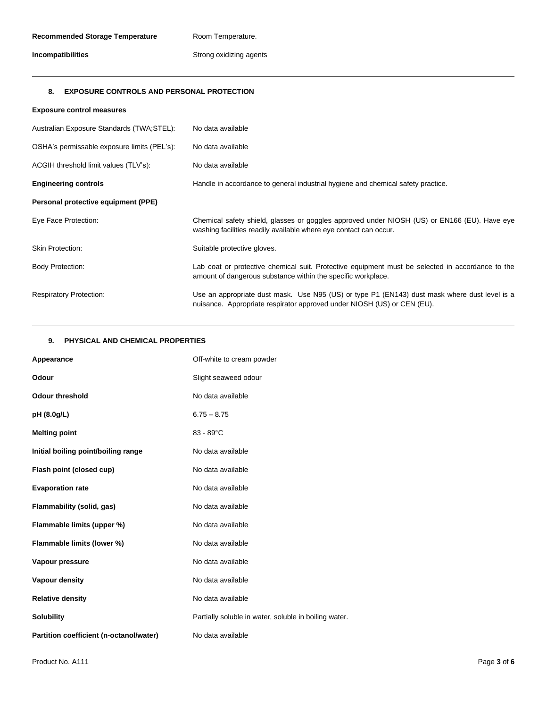# **Incompatibilities Incompatibilities** Strong oxidizing agents

# **8. EXPOSURE CONTROLS AND PERSONAL PROTECTION**

| <b>Exposure control measures</b>            |                                                                                                                                                                          |
|---------------------------------------------|--------------------------------------------------------------------------------------------------------------------------------------------------------------------------|
| Australian Exposure Standards (TWA;STEL):   | No data available                                                                                                                                                        |
| OSHA's permissable exposure limits (PEL's): | No data available                                                                                                                                                        |
| ACGIH threshold limit values (TLV's):       | No data available                                                                                                                                                        |
| <b>Engineering controls</b>                 | Handle in accordance to general industrial hygiene and chemical safety practice.                                                                                         |
| Personal protective equipment (PPE)         |                                                                                                                                                                          |
| Eye Face Protection:                        | Chemical safety shield, glasses or goggles approved under NIOSH (US) or EN166 (EU). Have eye<br>washing facilities readily available where eye contact can occur.        |
| <b>Skin Protection:</b>                     | Suitable protective gloves.                                                                                                                                              |
| <b>Body Protection:</b>                     | Lab coat or protective chemical suit. Protective equipment must be selected in accordance to the<br>amount of dangerous substance within the specific workplace.         |
| <b>Respiratory Protection:</b>              | Use an appropriate dust mask. Use N95 (US) or type P1 (EN143) dust mask where dust level is a<br>nuisance. Appropriate respirator approved under NIOSH (US) or CEN (EU). |

# **9. PHYSICAL AND CHEMICAL PROPERTIES**

| Appearance                              | Off-white to cream powder                             |
|-----------------------------------------|-------------------------------------------------------|
| Odour                                   | Slight seaweed odour                                  |
| <b>Odour threshold</b>                  | No data available                                     |
| pH (8.0g/L)                             | $6.75 - 8.75$                                         |
| <b>Melting point</b>                    | $83 - 89^{\circ}$ C                                   |
| Initial boiling point/boiling range     | No data available                                     |
| Flash point (closed cup)                | No data available                                     |
| <b>Evaporation rate</b>                 | No data available                                     |
| Flammability (solid, gas)               | No data available                                     |
| Flammable limits (upper %)              | No data available                                     |
| Flammable limits (lower %)              | No data available                                     |
| Vapour pressure                         | No data available                                     |
| Vapour density                          | No data available                                     |
| <b>Relative density</b>                 | No data available                                     |
| <b>Solubility</b>                       | Partially soluble in water, soluble in boiling water. |
| Partition coefficient (n-octanol/water) | No data available                                     |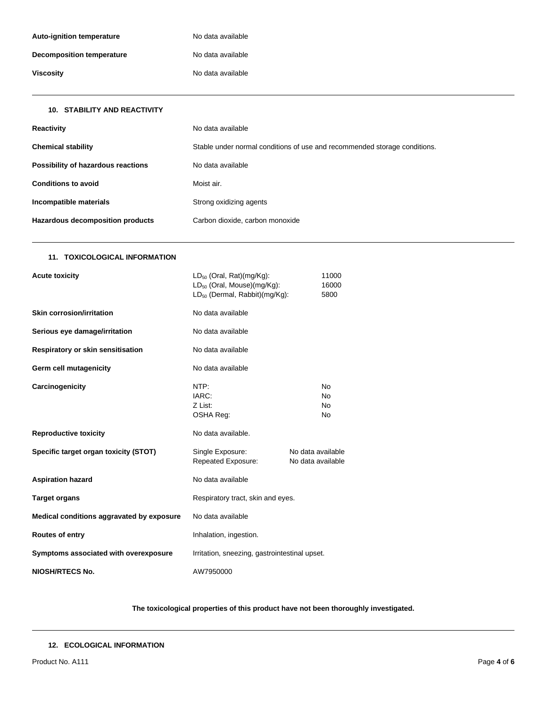| <b>Auto-ignition temperature</b> | No data available |
|----------------------------------|-------------------|
| <b>Decomposition temperature</b> | No data available |
| <b>Viscosity</b>                 | No data available |
|                                  |                   |

| <b>10. STABILITY AND REACTIVITY</b> |                                                                           |
|-------------------------------------|---------------------------------------------------------------------------|
| Reactivity                          | No data available                                                         |
| <b>Chemical stability</b>           | Stable under normal conditions of use and recommended storage conditions. |
| Possibility of hazardous reactions  | No data available                                                         |
| <b>Conditions to avoid</b>          | Moist air.                                                                |
| Incompatible materials              | Strong oxidizing agents                                                   |
| Hazardous decomposition products    | Carbon dioxide, carbon monoxide                                           |

# **11. TOXICOLOGICAL INFORMATION**

| <b>Acute toxicity</b>                     | LD <sub>50</sub> (Oral, Rat)(mg/Kg):<br>$LD_{50}$ (Oral, Mouse)(mg/Kg):<br>$LD_{50}$ (Dermal, Rabbit)(mg/Kg): |  | 11000<br>16000<br>5800 |
|-------------------------------------------|---------------------------------------------------------------------------------------------------------------|--|------------------------|
| <b>Skin corrosion/irritation</b>          | No data available                                                                                             |  |                        |
| Serious eye damage/irritation             | No data available                                                                                             |  |                        |
| Respiratory or skin sensitisation         | No data available                                                                                             |  |                        |
| Germ cell mutagenicity                    | No data available                                                                                             |  |                        |
| Carcinogenicity                           | NTP:<br>N <sub>o</sub><br>IARC:<br>N <sub>o</sub><br>Z List:<br><b>No</b><br>OSHA Reg:<br>No                  |  |                        |
| <b>Reproductive toxicity</b>              | No data available.                                                                                            |  |                        |
| Specific target organ toxicity (STOT)     | Single Exposure:<br>No data available<br>Repeated Exposure:<br>No data available                              |  |                        |
| <b>Aspiration hazard</b>                  | No data available                                                                                             |  |                        |
| <b>Target organs</b>                      | Respiratory tract, skin and eyes.                                                                             |  |                        |
| Medical conditions aggravated by exposure | No data available                                                                                             |  |                        |
| Routes of entry                           | Inhalation, ingestion.                                                                                        |  |                        |
| Symptoms associated with overexposure     | Irritation, sneezing, gastrointestinal upset.                                                                 |  |                        |
| <b>NIOSH/RTECS No.</b>                    | AW7950000                                                                                                     |  |                        |

# **The toxicological properties of this product have not been thoroughly investigated.**

# **12. ECOLOGICAL INFORMATION**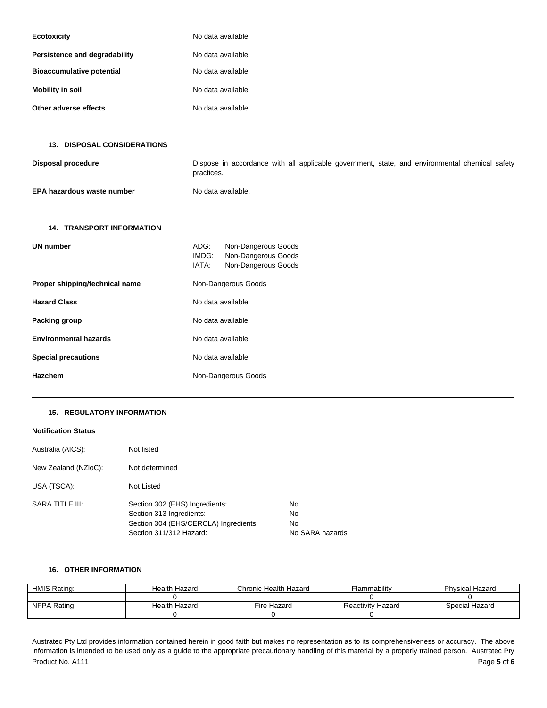| <b>Ecotoxicity</b>               | No data available |  |
|----------------------------------|-------------------|--|
| Persistence and degradability    | No data available |  |
| <b>Bioaccumulative potential</b> | No data available |  |
| <b>Mobility in soil</b>          | No data available |  |
| Other adverse effects            | No data available |  |

| <b>13. DISPOSAL CONSIDERATIONS</b> |                                                                                                              |  |
|------------------------------------|--------------------------------------------------------------------------------------------------------------|--|
| Disposal procedure                 | Dispose in accordance with all applicable government, state, and environmental chemical safety<br>practices. |  |
| EPA hazardous waste number         | No data available.                                                                                           |  |
| <b>14. TRANSPORT INFORMATION</b>   |                                                                                                              |  |
| <b>UN number</b>                   | ADG:<br>Non-Dangerous Goods<br>Non-Dangerous Goods<br>IMDG:<br>Non-Dangerous Goods<br>IATA:                  |  |
| Proper shipping/technical name     | Non-Dangerous Goods                                                                                          |  |
| <b>Hazard Class</b>                | No data available                                                                                            |  |
| Packing group                      | No data available                                                                                            |  |
| <b>Environmental hazards</b>       | No data available                                                                                            |  |
| <b>Special precautions</b>         | No data available                                                                                            |  |
| Hazchem                            | Non-Dangerous Goods                                                                                          |  |
|                                    |                                                                                                              |  |

# **15. REGULATORY INFORMATION**

# **Notification Status**

| Australia (AICS):      | Not listed                                                                                                                     |                                            |
|------------------------|--------------------------------------------------------------------------------------------------------------------------------|--------------------------------------------|
| New Zealand (NZIoC):   | Not determined                                                                                                                 |                                            |
| USA (TSCA):            | Not Listed                                                                                                                     |                                            |
| <b>SARA TITLE III:</b> | Section 302 (EHS) Ingredients:<br>Section 313 Ingredients:<br>Section 304 (EHS/CERCLA) Ingredients:<br>Section 311/312 Hazard: | No.<br>No.<br><b>No</b><br>No SARA hazards |

## **16. OTHER INFORMATION**

| <b>HMIS Rating:</b> | <b>Health Hazard</b> | Chronic Health Hazard | Flammabilitv             | <b>Physical Hazard</b> |
|---------------------|----------------------|-----------------------|--------------------------|------------------------|
|                     |                      |                       |                          |                        |
| NFPA Rating:        | Health Hazard        | Fire Hazard           | <b>Reactivity Hazard</b> | Special Hazard         |
|                     |                      |                       |                          |                        |

Product No. A111 Page 5 of 6 Austratec Pty Ltd provides information contained herein in good faith but makes no representation as to its comprehensiveness or accuracy. The above information is intended to be used only as a guide to the appropriate precautionary handling of this material by a properly trained person. Austratec Pty